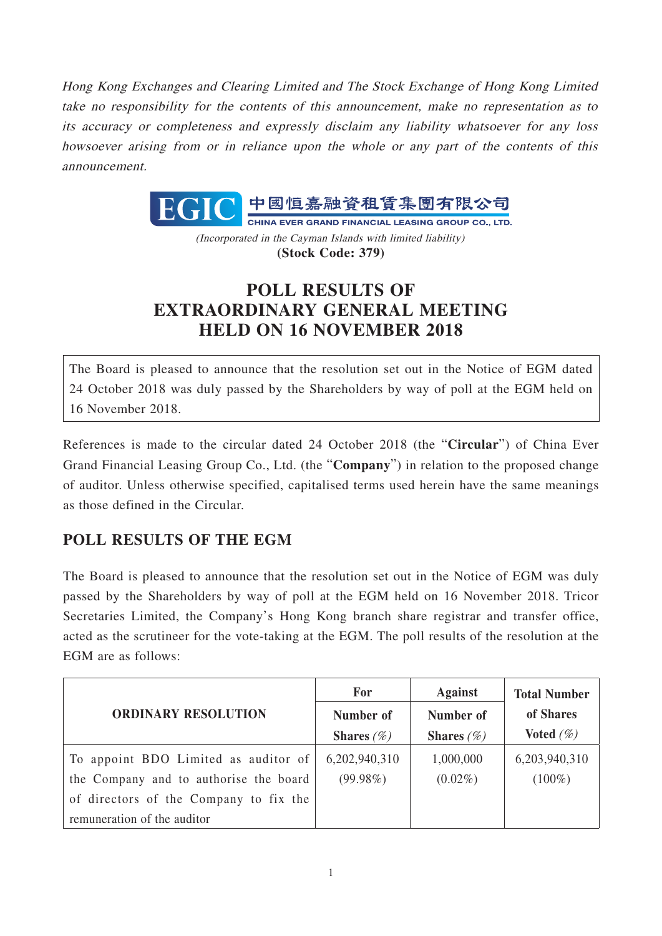Hong Kong Exchanges and Clearing Limited and The Stock Exchange of Hong Kong Limited take no responsibility for the contents of this announcement, make no representation as to its accuracy or completeness and expressly disclaim any liability whatsoever for any loss howsoever arising from or in reliance upon the whole or any part of the contents of this announcement.



(Incorporated in the Cayman Islands with limited liability) **(Stock Code: 379)**

## **POLL RESULTS OF EXTRAORDINARY GENERAL MEETING HELD ON 16 NOVEMBER 2018**

The Board is pleased to announce that the resolution set out in the Notice of EGM dated 24 October 2018 was duly passed by the Shareholders by way of poll at the EGM held on 16 November 2018.

References is made to the circular dated 24 October 2018 (the "**Circular**") of China Ever Grand Financial Leasing Group Co., Ltd. (the "**Company**") in relation to the proposed change of auditor. Unless otherwise specified, capitalised terms used herein have the same meanings as those defined in the Circular.

## **POLL RESULTS OF THE EGM**

The Board is pleased to announce that the resolution set out in the Notice of EGM was duly passed by the Shareholders by way of poll at the EGM held on 16 November 2018. Tricor Secretaries Limited, the Company's Hong Kong branch share registrar and transfer office, acted as the scrutineer for the vote-taking at the EGM. The poll results of the resolution at the EGM are as follows:

|                                        | For           | <b>Against</b>       | <b>Total Number</b> |
|----------------------------------------|---------------|----------------------|---------------------|
| <b>ORDINARY RESOLUTION</b>             | Number of     | Number of            | of Shares           |
|                                        | Shares $(\%)$ | <b>Shares</b> $(\%)$ | Voted $(\%)$        |
| To appoint BDO Limited as auditor of   | 6,202,940,310 | 1,000,000            | 6,203,940,310       |
| the Company and to authorise the board | $(99.98\%)$   | $(0.02\%)$           | $(100\%)$           |
| of directors of the Company to fix the |               |                      |                     |
| remuneration of the auditor            |               |                      |                     |